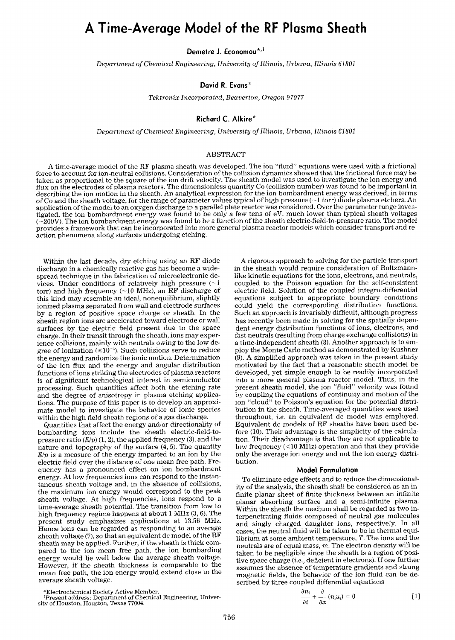# **A Time-Average Model of the RF Plasma Sheath**

Demetre J. Economou\*<sup>,1</sup>

*Department of Chemical Engineering, University of Illinois, Urbana, Illinois 61801* 

# **David R. Evans\***

*Tektronix Incorporated, Beaverton, Oregon 97077* 

# **Richard C. Alkire\***

*Department of Chemical Engineering, University of Illinois, Urbana, Illinois 6t801* 

## ABSTRACT

A time-average model of the RF plasma sheath was developed. The ion "fluid" equations were used with a frictional force to account for ion-neutral collisions. Consideration of the collision dynamics showed that the frictional force may be taken as proportional to the square of the ion drift velocity. The sheath model was used to investigate the ion energy and flux on the electrodes of plasma reactors. The dimensionless quantity Co (collision number) was found to be important in describing the ion motion in the sheath. An analytical expression for the ion bombardment energy was derived, in terms of Co and the sheath voltage, for the range of parameter values typical of high pressure  $(\sim 1$  torr) diode plasma etchers. An application of the model to an oxygen discharge in a parallel plate reactor was considered. Over the parameter range investigated, the ion bombardment energy was found to be only a few tens of eV, much lower than typical sheath voltages (~200V). The ion bombardment energy was found to be a function of the sheath electric-field-to-pressure ratio. The model provides a framework that can be incorporated into more general plasma reactor models which consider transport and reaction phenomena along surfaces undergoing etching.

Within the last decade, dry etching using an RF diode discharge in a chemically reactive gas has become a widespread technique in the fabrication of microelectronic devices. Under conditions of relatively high pressure  $(21)$ torr) and high frequency ( $\sim$ 10 MHz), an RF discharge of this kind may resemble an ideal, nonequilibrium, slightly ionized plasma separated from wall and electrode surfaces by a region of positive space charge or sheath. In the sheath region ions are accelerated toward electrode or wall surfaces by the electric field present due to the space charge. In their transit through the sheath, ions may experience collisions, mainly with neutrals owing to the low degree of ionization  $(\leq 10^{-4})$ . Such collisions serve to reduce the energy and randomize the ionic motion. Determination of the ion flux and the energy and angular distribution functions of ions striking the electrodes of plasma reactors is of significant technological interest in semiconductor processing. Such quantities affect both the etching rate and the degree of anisotropy in plasma etching applications. The purpose of this paper is to develop an approximate model to investigate the behavior of ionic species within the high field sheath regions of a gas discharge.

Quantities that affect the energy and/or directionality of bombarding ions include the sheath electric-field-topressure ratio (E/p) (1, *2),* the applied frequency (3), and the nature and topography of the surface (4, 5). The quantity *E/p* is a measure of the energy imparted to an ion by the electric field over the distance of one mean free path. Frequency has a pronounced effect on ion bombardment energy. At low frequencies ions can respond to the instantaneous sheath voltage and, in the absence of collisions, the maximum ion energy would correspond to the peak sheath voltage. At high frequencies, ions respond to a time-average sheath potential. The transition from low to high frequency regime happens at about 1 MHz (3, 6). The present study emphasizes applications at 13.56 MHz. Hence ions can be regarded as responding to an average sheath voltage  $(7)$ , so that an equivalent dc model of the RF sheath may be applied. Further, if the sheath is thick compared to the ion mean free path, the ion bombarding energy would lie well below the average sheath voltage. However, if the sheath thickness is comparable to the mean free path, the ion energy would extend close to the average sheath voltage.

Present address: Department of Chemical Engineering, University of Houston, Houston, Texas 77004.

A rigorous approach to solving for the particle transport in the sheath would require consideration of Boltzmannlike kinetic equations for the ions, electrons, and neutrals, coupled to the Poisson equation for the self-consistent electric field. Solution of the coupled integro-differential equations subject to appropriate boundary conditions could yield the corresponding distribution functions. Such an approach is invariably difficult, although progress has recently been made in solving for the spatially dependent energy distribution functions of ions, electrons, and fast neutrals (resulting from charge exchange collisions) in a time-independent sheath (8). Another approach is to employ the Monte Carlo method as demonstrated by Kushner (9). A simplified approach was taken in the present study motivated by the fact that a reasonable sheath model be developed, yet simple enough to be readily incorporated into a more general plasma reactor model. Thus, in the present sheath model, the ion "fluid" velocity was found by coupling the equations of continuity and motion of the ion "cloud" to Poisson's equation for the potential distribution in the sheath. Time-averaged quantities were used throughout, *i.e.* an equivalent dc model was employed. Equivalent dc models of RF sheaths have been used before (10). Their advantage is the simplicity of the calculation. Their disadvantage is that they are not applicable to low frequency (<10 MHz) operation and that they provide only the average ion energy and not the ion energy distribution.

### **Model Formulation**

To eliminate edge effects and to reduce the dimensionality of the analysis, the sheath shall be considered as an infinite planar sheet of finite thickness between an infinite planar absorbing surface and a semi-infinite plasma. Within the sheath the medium shall be regarded as two interpenetrating fluids composed of neutral gas molecules and singly charged daughter ions, respectively. In all cases, the neutral fluid will be taken to be in thermal equilibrium at some ambient temperature, T. The ions and the neutrals are of equal mass, m. The electron density will be taken to be negligible since the sheath is a region of positive space charge (i.e., deficient in electrons). If one further assumes the absence of temperature gradients and strong magnetic fields, the behavior of the ion fluid can be described by three coupled differential equations

$$
\frac{\partial n_i}{\partial t} + \frac{\partial}{\partial x} (n_i u_i) = 0
$$
 [1]

<sup>\*</sup>Electrochemical Society Active Member.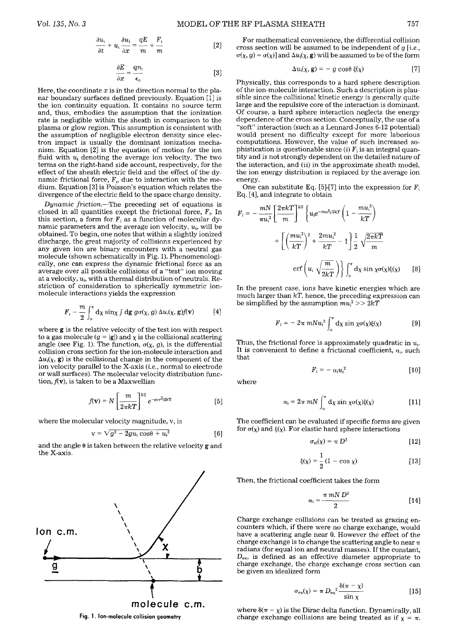$$
\frac{\partial E}{\partial x} = \frac{qn_i}{\epsilon_o} \tag{3}
$$

Here, the coordinate  $x$  is in the direction normal to the planar boundary surfaces defined previously. Equation [1] is the ion continuity equation. It contains no source term and, thus, embodies the assumption that the ionization rate is negligible within the sheath in comparison to the plasma or glow region. This assumption is consistent with the assumption of negligible electron density since electron impact is usually the dominant ionization mechanism. Equation [2] is the equation of motion for the ion fluid with  $u_i$  denoting the average ion velocity. The two terms on the right-hand side account, respectively, for the effect of the sheath electric field and the effect of the dynamic frictional force,  $F<sub>1</sub>$ , due to interaction with the medium. Equation [3] is Poisson's equation which relates the divergence of the electric field to the space charge density.

*Dynamic friction.--The* preceding set of equations is closed in all quantities except the frictional force,  $F<sub>i</sub>$ . In this section, a form for  $F_i$  as a function of molecular dynamic parameters and the average ion velocity,  $u_i$ , will be obtained. To begin, one notes that within a slightly ionized discharge, the great majority of collisions experienced by any given ion are binary encounters with a neutral gas molecule (shown schematically in Fig. 1). Phenomenologically, one can express the dynamic frictional force as an average over all possible collisions of a "test" ion moving at a velocity,  $u_i$ , with a thermal distribution of neutrals. Restriction of consideration to spherically symmetric ionmolecule interactions yields the expression

$$
F_{1} - \frac{m}{2} \int_{0}^{\pi} d\chi \sin\chi \int d\mathbf{g} \, g\sigma(\chi, g) \, \Delta u_{1}(\chi, \mathbf{g}) f(\mathbf{v}) \qquad [4]
$$

where g is the relative velocity of the test ion with respect to a gas molecule  $(g = |g|)$  and  $\chi$  is the collisional scattering angle (see Fig. 1). The function,  $\sigma(\chi, g)$ , is the differential collision cross section for the ion-molecule interaction and  $\Delta u_i(\chi, g)$  is the collisional change in the component of the ion velocity parallel to the X-axis *(i.e.,* normal to electrode or wall surfaces). The molecular velocity distribution function,  $f(\mathbf{v})$ , is taken to be a Maxwellian

$$
f(\mathbf{v}) = N \left[ \frac{m}{2\pi kT} \right]^{3/2} e^{-mv^2/2kT}
$$
 [5]

where the molecular velocity magnitude, v, is

$$
v = \sqrt{g^2 - 2gu_i \cos\theta + u_i^2}
$$
 [6]

and the angle  $\theta$  is taken between the relative velocity g and the X-axis.



**Fig. 1. Ion-molecule collision geometry** 

$$
\Delta u_i(\chi, \mathbf{g}) = -g \cos \theta \xi(\chi) \tag{7}
$$

Physically, this corresponds to a hard sphere description of the ion-molecule interaction. Such a description is plausible since the collisional kinetic energy is generally quite large and the repulsive core of the interaction is dominant. Of course, a hard sphere interaction neglects the energy dependence of the cross section. Conceptually, the use of a "soft" interaction (such as a Lennard-Jones 6-12 potential) would present no difficulty except for more laborious computations. However, the value of such increased sophistication is questionable since  $(i)$   $F_i$  is an integral quantity and is not strongly dependent on the detailed nature of the interaction, and *(ii)* in the approximate sheath model, the ion energy distribution is replaced by the average ion energy.

One can substitute Eq. [5]-[7] into the expression for  $F_i$ Eq. [4], and integrate to obtain

$$
F_{i} = -\frac{mN}{\pi u_{i}^{2}} \left[ \frac{2\pi kT}{m} \right]^{3/2} \left\{ u_{i} e^{-m u_{i}^{2}/2kT} \left( 1 - \frac{m u_{i}^{2}}{kT} \right) + \left[ \left( \frac{m u_{i}^{2}}{kT} \right)^{2} + \frac{2m u_{i}^{2}}{kT} - 1 \right] \frac{1}{2} \sqrt{\frac{2\pi kT}{m}}
$$

$$
erf\left( u_{i} \sqrt{\frac{m}{2kT}} \right) \left\} \int_{0}^{\pi} d\chi \sin \chi \sigma(\chi) \xi(\chi) \qquad [8]
$$

In the present case, ions have kinetic energies which are much larger than *kT,* hence, the preceding expression can be simplified by the assumption  $mu_i^2 >> 2kT$ 

$$
F_i = -2\pi mNu_i^2 \int_0^{\pi} d\chi \sin \chi \sigma(\chi) \xi(\chi)
$$
 [9]

Thus, the frictional force is approximately quadratic in  $u_1$ . It is convenient to define a frictional coefficient,  $\alpha_i$ , such that

$$
F_i = -\alpha_i u_i^2 \qquad [10]
$$

where

$$
\left[\frac{m}{2\pi kT}\right]^{\omega_{\alpha}}e^{-mv^{2}/2kT}
$$
 [5]  $\alpha_{i} = 2\pi mN\int_{0}^{\pi} d\chi \sin \chi \sigma(\chi)\xi(\chi)$  [11]

The coefficient can be evaluated if specific forms are given for  $\sigma(\chi)$  and  $\xi(\chi)$ . For elastic hard sphere interactions

$$
\sigma_{\rm el}(\chi) = \pi D^2 \qquad [12]
$$

$$
\xi(\chi) = \frac{1}{2} (1 - \cos \chi)
$$
 [13]

Then, the frictional coefficient takes the form

$$
\alpha_i = \frac{\pi m N D^2}{2} \tag{14}
$$

Charge exchange collisions can be treated as grazing encounters which, if there were no charge exchange, would have a scattering angle near 0. However the effect of the charge exchange is to change the scattering angle to near  $\pi$ radians (for equal ion and neutral masses). If the constant,  $D_{\text{ex}}$ , is defined as an effective diameter appropriate to charge exchange, the charge exchange cross section can be given an idealized form

$$
\sigma_{\rm ex}(\chi) = \pi \, D_{\rm ex}^2 \frac{\delta(\pi - \chi)}{\sin \chi} \tag{15}
$$

where  $\delta(\pi - \chi)$  is the Dirac delta function. Dynamically, all charge exchange collisions are being treated as if  $\chi = \pi$ .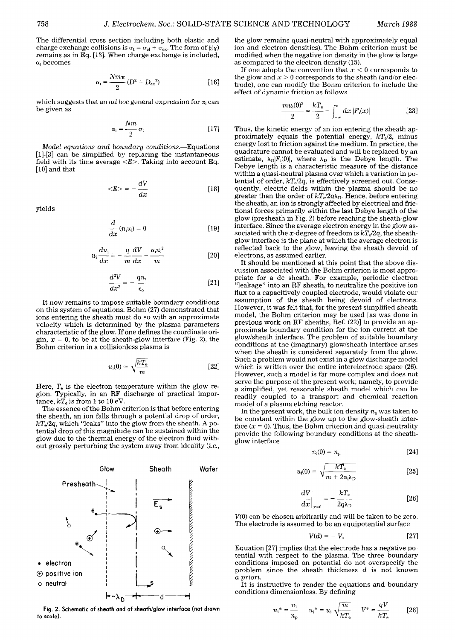The differential cross section including both elastic and charge exchange collisions is  $\sigma_t = \sigma_{el} + \sigma_{ex}$ . The form of  $\xi(\chi)$ remains as in Eq. [13]. When charge exchange is included,  $\alpha$ , becomes

$$
\alpha_{1} = \frac{Nm\pi}{2}(D^{2} + D_{ex}^{2})
$$
 [16]

which suggests that an  $ad$  hoc general expression for  $\alpha_i$  can be given as

$$
\alpha_{\rm i} = \frac{Nm}{2} \sigma_{\rm t} \tag{17}
$$

*Model equations and boundary conditions.--Equations*  [1]-[3] can be simplified by replacing the instantaneous field with its time average  $\langle E \rangle$ . Taking into account Eq. [10] and that

$$
\langle E \rangle = -\frac{dV}{dx} \tag{18}
$$

yields

$$
\frac{d}{dx}\left(n_{i}u_{i}\right)=0\tag{19}
$$

$$
u_i \frac{du_i}{dx} = -\frac{q}{m} \frac{dV}{dx} - \frac{\alpha_i u_i^2}{m}
$$
 [20]

$$
\frac{d^2V}{dx^2} = -\frac{qn_1}{\epsilon_0} \tag{21}
$$

It now remains to impose suitable boundary conditions on this system of equations. Bohm (27) demonstrated that ions entering the sheath must do so with an approximate velocity which is determined by the plasma parameters characteristic of the glow. If one defines the coordinate origin,  $x = 0$ , to be at the sheath-glow interface (Fig. 2), the Bohm criterion in a collisionless plasma is

$$
u_i(0) \simeq \sqrt{\frac{kT_e}{m}} \tag{22}
$$

Here,  $T_e$  is the electron temperature within the glow region. Typically, in an RF discharge of practical importance,  $kT_e$  is from 1 to 10 eV.

The essence of the Bohm criterion is that before entering the sheath, an ion falls through a potential drop of order,  $kT_e/2q$ , which "leaks" into the glow from the sheath. A potential drop of this magnitude can be sustained within the glow due to the thermal energy of the electron fluid without grossly perturbing the system away from ideality *(i.e.,* 



**Fig. 2. Schematic of sheath and of sheath/glow interface (not drawn to scale).** 

the glow remains quasi-neutral with approximately equal ion and electron densities). The Bohm criterion must be modified when the negative ion density in the glow is large as compared to the electron density (15).

If one adopts the convention that  $x < 0$  corresponds to the glow and  $x > 0$  corresponds to the sheath (and/or electrode), one can modify the Bohm criterion to include the effect of dynamic friction as follows

$$
\frac{mu_{i}(0)^{2}}{2} \simeq \frac{kT_{e}}{2} - \int_{-\infty}^{\infty} dx \, |F_{i}(x)| \qquad [23]
$$

Thus, the kinetic energy of an ion entering the sheath approximately equals the potential energy,  $kT_e/2$ , minus energy lost to friction against the medium. In practice, the quadrature cannot be evaluated and will be replaced by an estimate,  $\lambda_D|F_i(0)|$ , where  $\lambda_D$  is the Debye length. The Debye length is a characteristic measure of the distance within a quasi-neutral plasma over which a variation in potential of order,  $kT_e/2q$ , is effectively screened out. Consequently, electric fields within the plasma should be no greater than the order of  $kT_e/2q\lambda_D$ . Hence, before entering the sheath, an ion is strongly affected by electrical and frictional forces primarily within the last Debye length of the glow (presheath in Fig. 2) before reaching the sheath-glow interface. Since the average electron energy in the glow associated with the x-degree of freedom is  $kT_e/2q$ , the sheathglow interface is the plane at which the average electron is reflected back to the glow, leaving the sheath devoid of electrons, as assumed earlier.

It should be mentioned at this point that the above discussion associated with the Bohm criterion is most appropriate for a dc sheath. For example, periodic electron "leakage" into an RF sheath, to neutralize the positive ion flux to a capacitively coupled electrode, would violate our assumption of the sheath being devoid of electrons. However, it was felt that, for the present simplified sheath model, the Bohm criterion may be used [as was done in previous work on RF sheaths, Ref. (22)] to provide an approximate boundary condition for the ion current at the glow/sheath interface. The problem of suitable boundary conditions at the (imaginary) glow/sheath interface arises when the sheath is considered separately from the glow. Such a problem would not exist in a glow discharge model which is written over the entire interelectrode space (26). However, such a model is far more complex and does not serve the purpose of the present work; namely, to provide a simplified, yet reasonable sheath model which can be readily coupled to a transport and chemical reaction model of a plasma etching reactor.

In the present work, the bulk ion density  $n_{\rm p}$  was taken to be constant within the glow up to the glow-sheath interface  $(x = 0)$ . Thus, the Bohm criterion and quasi-neutrality provide the following boundary conditions at the sheathglow interface

$$
n_{\rm i}(0)=n_{\rm p} \qquad \qquad [24]
$$

$$
u_{\rm i}(0) = \sqrt{\frac{kT_{\rm e}}{m + 2\alpha_{\rm i}\lambda_{\rm D}}}\qquad \qquad [25]
$$

$$
\left. \frac{dV}{dx} \right|_{x=0} = -\frac{kT_e}{2q\lambda_D} \tag{26}
$$

V(0) can be chosen arbitrarily and will be taken to be zero. The electrode is assumed to be an equipotential surface

$$
V(d) = -V_{\rm s} \tag{27}
$$

Equation [27] implies that the electrode has a negative potential with respect to the plasma. The three boundary conditions imposed on potential do not overspecify the problem since the sheath thickness d is not known *a priori.* 

It is instructive to render the equations and boundary conditions dimensionless. By defining

$$
n_{i}^{*} = \frac{n_{i}}{n_{p}} \qquad u_{i}^{*} = u_{i} \sqrt{\frac{m}{kT_{e}}} \qquad V^{*} = \frac{qV}{kT_{e}} \qquad [28]
$$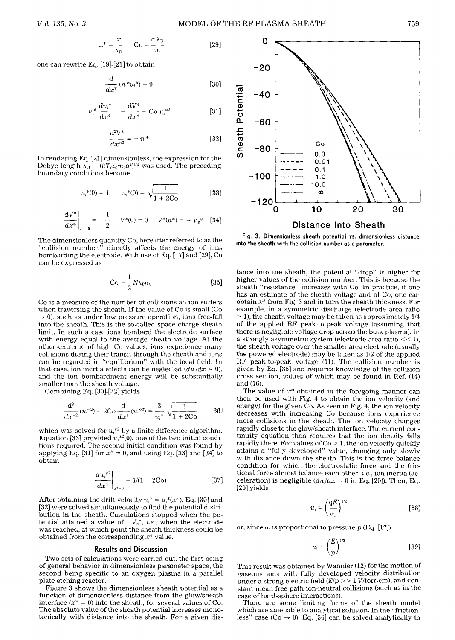$$
x^* = \frac{x}{\lambda_D} \qquad \text{Co} = \frac{\alpha_j \lambda_D}{m} \tag{29}
$$

one can rewrite Eq. [19]-[21] to obtain

$$
\frac{d}{dx^*} (n_1^* u_1^*) = 0
$$
 [30]

$$
u_i^* \frac{du_i^*}{dx^*} = -\frac{dV^*}{dx^*} - \text{Co } u_i^{*2}
$$
 [31]

$$
\frac{d^2V^*}{dx^{*2}} = -n_i^*
$$
 [32]

In rendering Eq. [21] dimensionless, the expression for the Debye length  $\lambda_D = (kT_e\epsilon_0/n_eq^2)^{1/2}$  was used. The preceding boundary conditions become

$$
n_i^*(0) = 1 \qquad u_i^*(0) = \sqrt{\frac{1}{1 + 2C_0}}
$$
 [33]

$$
\left. \frac{dV^*}{dx^*} \right|_{x^* = 0} = -\frac{1}{2} \qquad V^*(0) = 0 \qquad V^*(d^*) = -V_s^* \quad [34]
$$

The dimensionless quantity Co, hereafter referred to as the "collision number," directly affects the energy of ions bombarding the electrode. With use of Eq. [17] and [29], Co can be expressed as

$$
Co = \frac{1}{2} N \lambda_D \sigma_t
$$
 [35]

Co is a measure of the number of collisions an ion suffers when traversing the sheath. If the value of Co is small (Co  $\rightarrow$  0), such as under low pressure operation, ions free-fall into the sheath. This is the so-called space charge sheath limit. In such a case ions bombard the electrode surface with energy equal to the average sheath voltage. At the other extreme of high Co values, ions experience many collisions during their transit through the sheath and ions can be regarded in "equilibrium" with the local field. In that case, ion inertia effects can be neglected  $(du<sub>i</sub>/dx = 0)$ , and the ion bombardment energy will be substantially smaller than the sheath voltage.

Combining Eq. [30]-[32] yields

$$
\frac{d^2}{dx^{*2}}(u_1^{*2}) + 2\mathrm{Co}\frac{d}{dx^*}(u_1^{*2}) = \frac{2}{u_1^*} \sqrt{\frac{1}{1+2\mathrm{Co}}} \qquad [36]
$$

which was solved for  $u_i^{*2}$  by a finite difference algorithm. Equation [33] provided  $u_1^{*2}(0)$ , one of the two initial conditions required. The second initial condition was found by applying Eq. [31] for  $x^* = 0$ , and using Eq. [33] and [34] to obtain

$$
\left. \frac{du_i^{*2}}{dx^*} \right|_{x^*=0} = 1/(1 + 2Co) \tag{37}
$$

After obtaining the drift velocity  $u_i^* = u_i^*(x^*)$ , Eq. [30] and [32] were solved simultaneously to find the potential distribution in the sheath. Calculations stopped when the potential attained a value of  $-V_s^*$ , *i.e.*, when the electrode was reached, at which point the sheath thickness could be obtained from the corresponding  $x^*$  value.

## **Results and Discussion**

Two sets of calculations were carried out, the first being of general behavior in dimensionless parameter space, the second being specific to an oxygen plasma in a parallel plate etching reactor.

Figure 3 shows the dimensionless sheath potential as a function of dimensionless distance from the glow/sheath interface  $(x^* = 0)$  into the sheath, for several values of Co. The absolute value of the sheath potential increases monotonically with distance into the sheath. For a given **dis-**



Fig. 3. Dimensionless sheath potential *vs.* dimensionless distance

**into the sheath with the collision number as a parameter.** 

tance into the sheath, the potential "drop" is higher for higher values of the collision number. This is because the sheath "resistance" increases with Co. In practice, if one has an estimate of the sheath voltage and of Co, one can obtain  $x^*$  from Fig. 3 and in turn the sheath thickness. For example, in a symmetric discharge (electrode area ratio  $\approx$  1), the sheath voltage may be taken as approximately 1/4 of the applied RF peak-to-peak voltage (assuming that there is negligible voltage drop across the bulk plasma). In a strongly asymmetric system (electrode area ratio  $<< 1$ ), the sheath voltage over the smaller area electrode (usually the powered electrode) may be taken as 1/2 of the applied RF peak-to-peak voltage (1D. The collision number is given by Eq. [35] and requires knowledge of the collision cross section, values of which may be found in Ref. (14) and (16).

The value of  $x^*$  obtained in the foregoing manner can then be used with Fig. 4 to obtain the ion velocity (and energy) for the given Co. As seen in Fig. 4, the ion velocity decreases with increasing Co because ions experience more collisions in the sheath. The ion velocity changes rapidly close to the glow/sheath interface. The current continuity equation then requires that the ion density falls rapidly there. For values of  $Co > 1$ , the ion velocity quickly attains a "fully developed" value, changing only slowly with distance down the sheath. This is the force balance condition for which the electrostatic force and the frictional force almost balance each other, *i.e.,* ion inertia (acceleration) is negligible  $(du<sub>i</sub>/dx = 0$  in Eq. [20]). Then, Eq. [20] yields

$$
u_{i} = \left(\frac{qE}{\alpha_{i}}\right)^{1/2} \tag{38}
$$

or, since  $\alpha_1$  is proportional to pressure p (Eq. [17])

$$
u_{\rm i} \sim \left(\frac{E}{p}\right)^{1/2} \tag{39}
$$

This result was obtained by Wannier (12) for the motion of gaseous ions with fully developed velocity distribution under a strong electric field  $(E/p>>1$  *V*/torr-cm), and constant mean free path ion-neutral collisions (such as in the case of hard-sphere interactions).

There are some limiting forms of the sheath model which are amenable to analytical solution. In the "frictionless" case (Co  $\rightarrow$  0), Eq. [36] can be solved analytically to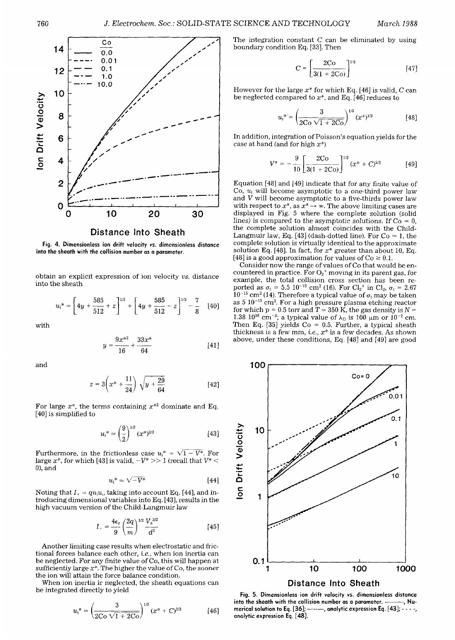

Fig. 4. **Dimensionless ion drift velocity** *vs.* **dimensionless distance into the sheath with the collision number as a parameter.** 

obtain an explicit expression of ion velocity *vs.* distance into the sheath

$$
u_i^* = \left[4y + \frac{585}{512} + z\right]^{1/3} + \left[4y + \frac{585}{512} - z\right]^{1/3} - \frac{7}{8} \quad [40]
$$

with

$$
y = \frac{9x^{*2}}{16} + \frac{33x^*}{64}
$$
 [41]

and

$$
z = 3\left(x^* + \frac{11}{24}\right)\sqrt{y + \frac{29}{64}}\tag{42}
$$

For large  $x^*$ , the terms containing  $x^{*2}$  dominate and Eq. [40] is simplified to

$$
u_i^* \simeq \left(\frac{9}{2}\right)^{1/3} (x^*)^{2/3} \tag{43}
$$

Furthermore, in the frictionless case  $u_i^* = \sqrt{1-V^*}$ . For large  $x^*$ , for which [43] is valid,  $-V^* >> 1$  (recall that  $V^* <$ 0), and

$$
u_i^* \approx \sqrt{-V^*} \tag{44}
$$

Noting that  $I_1 = qn_iu_i$ , taking into account Eq. [44], and introducing dimensional variables into Eq. [43], results in the high vacuum version of the Child-Langmuir law

$$
I_{+} = \frac{4\epsilon_{\rm o}}{9} \left(\frac{2q}{m}\right)^{1/2} \frac{V_{\rm s}^{3/2}}{d^2} \tag{45}
$$

Another limiting case results when electrostatic and frictional forces balance each other, *i.e.,* when ion inertia can be neglected. For any finite value of Co, this will happen at sufficiently large  $x^*$ . The higher the value of Co, the sooner the ion will attain the force balance condition.

When ion inertia iz neglected, the sheath equations can be integrated directly to yield

$$
u_1^* = \left(\frac{3}{2C\sigma\sqrt{1+2C\sigma}}\right)^{1/3} (x^* + C)^{1/3}
$$
 [46]

The integration constant  $C$  can be eliminated by using boundary condition Eq. [33]. Then

$$
C = \left[\frac{2\text{Co}}{3(1 + 2\text{Co})}\right]^{1/3} \tag{47}
$$

However for the large  $x^*$  for which Eq. [46] is valid, C can be neglected compared to  $x^*$ , and Eq. [46] reduces to

$$
u_1^* = \left(\frac{3}{2C\sigma\sqrt{1+2C\sigma}}\right)^{1/3} (x^*)^{1/3}
$$
 [48]

In addition, integration of Poisson's equation yields for the case at hand (and for high  $x^*$ )

$$
V^* = -\frac{9}{10} \left[ \frac{2 \text{Co}}{3(1+2 \text{Co})} \right]^{1/3} (x^* + C)^{5/3} \tag{49}
$$

Equation [48] and [49] indicate that for any finite value of  $Co$ ,  $u_i$  will become asymptotic to a one-third power law and V will become asymptotic to a five-thirds power law with respect to  $x^*$ , as  $x^* \rightarrow \infty$ . The above limiting cases are displayed in Fig. 5 where the complete solution (solid lines) is compared to the asymptotic solutions. If  $Co = 0$ , the complete solution almost coincides with the Child-Langmuir law, Eq. [43] (dash-dotted line). For  $Co \approx 1$ , the complete solution is virtually identical to the approximate solution Eq. [48]. In fact, for  $x^*$  greater than about 10, Eq. [48] is a good approximation for values of  $Co \ge 0.1$ .

Consider now the range of values of Co that would be encountered in practice. For  $O_2$ <sup>+</sup> moving in its parent gas, for example, the total collision cross section has been reported as  $\sigma_t = 5.5 \, 10^{-15} \, \text{cm}^2$  (16). For Cl<sub>2</sub><sup>+</sup> in Cl<sub>2</sub>,  $\sigma_t = 2.67$  $10^{-15}$  cm<sup>2</sup> (14). Therefore a typical value of  $\sigma_t$  may be taken as  $5 \frac{10^{-15} \text{ cm}^2}{2}$ . For a high pressure plasma etching reactor for which  $p = 0.5$  torr and  $T = 350$  K, the gas density is  $N =$ 1.38  $10^{16}$  cm<sup>-3</sup>; a typical value of  $\lambda_D$  is 100  $\mu$ m or 10<sup>-2</sup> cm. Then Eq. [35] yields Co  $\approx$  0.5. Further, a typical sheath thickness is a few mm, *i.e.,*  $x^*$  is a few decades. As shown above, under these conditions, Eq. [48] and [49] are good



Fig. 5. **Dimensionless ion drift velocity vs. dimensionless distance**  into the sheath with the collision number as a parameter. —<br>merical solution to Eq. [36]; ———, analytic expression Eq. [43 **merical solution to Eq.** [36]; .... , **analytic expression Eq.** [43]; .... , **anatytic expression Eq.** [48].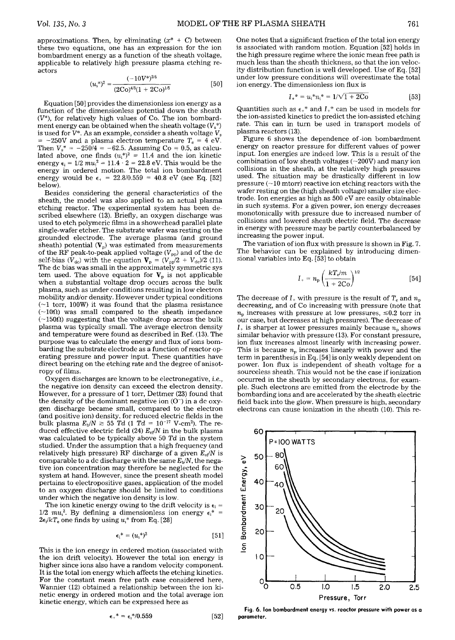approximations. Then, by eliminating  $(x^* + C)$  between these two equations, one has an expression for the ion bombardment energy as a function of the sheath voltage, applicable to relatively high pressure plasma etching reactors

$$
(u1*)2 = \frac{(-10V*)2/5}{(2Co)4/5(1 + 2Co)1/5} \t[50]
$$

Equation [50] provides the dimensionless ion energy as a function of the dimensionless potential down the sheath  $(V^*)$ , for relatively high values of Co. The ion bombardment energy can be obtained when the sheath voltage  $(V<sub>s</sub><sup>*</sup>)$ is used for  $V^*$ . As an example, consider a sheath voltage  $V_s$  $= -250V$  and a plasma electron temperature  $T_e = 4$  eV. Then  $V_s^* = -250/4 = -62.5$ . Assuming Co = 0.5, as calculated above, one finds  $(u_i^*)^2 = 11.4$  and the ion kinetic energy  $\epsilon_i = 1/2$   $mu_i^2 = 11.4 \cdot 2 = 22.8 \text{ eV}$ . This would be the energy in ordered motion. The total ion bombardment energy would be  $\epsilon_+ = 22.8/0.559 = 40.8$  eV (see Eq. [52] below).

Besides considering the general characteristics of the sheath, the model was also applied to an actual plasma etching reactor. The experimental system has been described elsewhere (13). Briefly, an oxygen discharge was used to etch polymeric films in a showerhead parallel plate single-wafer etcher. The substrate wafer was resting on the grounded electrode. The average plasma (and ground sheath) potential  $(V_p)$  was estimated from measurements of the RF peak-to-peak applied voltage  $(V_{\text{pp}})$  and of the dc self-bias  $(V_{dc})$  with the equation  $V_p = (V_{pp}/2 + V_{dc})/2$  (11). The dc bias was small in the approximately symmetric sys tem used. The above equation for  $V_p$  is not applicable when a substantial voltage drop occurs across the bulk plasma, such as under conditions resulting in low electron mobility and/or density. However under typical conditions  $(-1$  torr, 100W) it was found that the plasma resistance  $(-100)$  was small compared to the sheath impedance  $(-150\Omega)$  suggesting that the voltage drop across the bulk plasma was typically small. The average electron density and temperature were found as described in Ref. (13). The purpose was to calculate the energy and flux of ions bombarding the substrate electrode as a function of reactor operating pressure and power input. These quantities have direct bearing on the etching rate and the degree of anisotropy of films.

Oxygen discharges are known to be electronegative, i.e., the negative ion density can exceed the electron density. However, for a pressure of 1 torr, Dettmer (23) found that the density of the dominant negative ion  $(O^-)$  in a dc oxygen discharge became small, compared to the electron (and positive ion) density, for reduced electric fields in the bulk plasma  $E_{\rm b}/N \ge 55$  *Td* (1 *Td* = 10<sup>-17</sup> V-cm<sup>2</sup>). The reduced effective electric field  $(24)$   $E_{\text{ef}}/N$  in the bulk plasma was calculated to be typically above 50 *Td* in the system studied. Under the assumption that a high frequency (and relatively high pressure) RF discharge of a given *E~f/N* is comparable to a dc discharge with the same  $E<sub>b</sub>/N$ , the negative ion concentration may therefore be neglected for the system at hand. However, since the present sheath model pertains to electropositive gases, application of the model to an oxygen discharge should be limited to conditions under which the negative ion density is low.

The ion kinetic energy owing to the drift velocity is  $\epsilon_i$  =  $1/2$   $mu<sub>i</sub><sup>2</sup>$ . By defining a dimensionless ion energy  $\epsilon_i^*$  =  $2\epsilon_i/kT_e$  one finds by using  $u_i^*$  from Eq. [28]

$$
\epsilon_{i}{}^{*}=(u_{i}{}^{*})^{2} \qquad \qquad [51]
$$

This is the ion energy in ordered motion (associated with the ion drift velocity). However the total ion energy is higher since ions also have a random velocity component. It is the total ion energy which affects the etching kinetics. For the constant mean free path case considered here, Wannier (12) obtained a relationship between the ion kinetic energy in ordered motion and the total average ion kinetic energy, which can be expressed here as

$$
\epsilon_{+}^* = \epsilon_{1}^* / 0.559 \qquad \qquad [52]
$$

One notes that a significant fraction of the total ion energy is associated with random motion. Equation [52] holds in the high pressure regime where the ionic mean free path is much less than the sheath thickness, so that the ion velocity distribution function is well developed. Use of Eq. [52] under low pressure conditions will overestimate the total ion energy. The dimensionless ion flux is

$$
I_{+}^{*} = u_{i}^{*} n_{i}^{*} = 1/\sqrt{1 + 2Co}
$$
 [53]

Quantities such as  $\epsilon_{+}^{*}$  and  $I_{+}^{*}$  can be used in models for the ion-assisted kinetics to predict the ion-assisted etching rate. This can in turn be used in transport models of plasma reactors (13).

Figure 6 shows the dependence of-ion bombardment energy on reactor pressure for different values of power input. Ion energies are indeed low. This is a result of the combination of low sheath voltages ( $\sim$ 200V) and many ion collisions in the sheath, at the relatively high pressures used. The situation may be drastically different in low pressure  $(\sim10$  mtorr) reactive ion etching reactors with the wafer resting on the (high sheath voltage) smaller size electrode. Ion energies as high as 500 eV are easily obtainable in such systems. For a given power, ion energy decreases monotonically with pressure due to increased number of collisions and lowered sheath electric field. The decrease in energy with pressure may be partly counterbalanced by increasing the power input.

The variation of ion flux with pressure is shown in Fig. 7. The behavior can be explained by introducing dimensional variables into Eq. [53] to obtain

$$
I_{+} = n_{\rm p} \left( \frac{kT_{\rm e}/m}{1 + 2\rm{Co}} \right)^{1/2} \tag{54}
$$

The decrease of  $I_+$  with pressure is the result of  $T_e$  and  $n_p$ decreasing, and of Co increasing with pressure (note that  $n_p$  increases with pressure at low pressures,  $\leq 0.2$  torr in our case, but decreases at high pressures). The decrease of  $I_{+}$  is sharper at lower pressures mainly because  $n_{p}$  shows similar behavior with pressure (13). For constant pressure, ion flux increases almost linearly with increasing power. This is because  $n_p$  increases linearly with power and the term in parenthesis in Eq. [54] is only weakly dependent on power. Ion flux is independent of sheath voltage for a sourceless sheath. This would not be the case if ionization occurred in the sheath by secondary electrons, for example. Such electrons are emitted from the electrode by the bombarding ions and are accelerated by the sheath electric field back into the glow. When pressure is high, secondary electrons can cause ionization in the sheath (10). This re-



**Fig. 6. Ion bombardment energy** *vs.* **reactor pressure with power as a parameter.**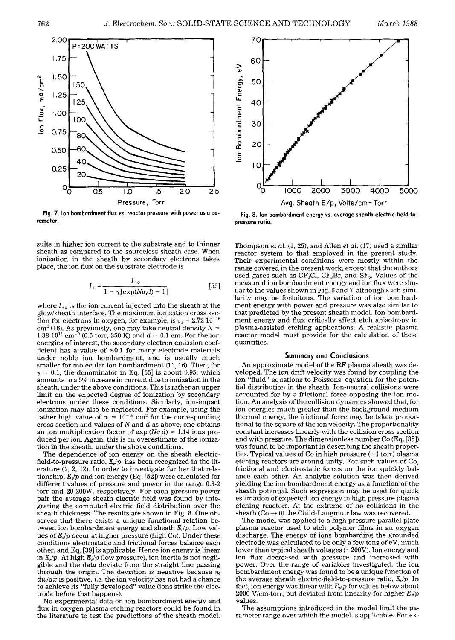

**Fig. 7. Ion bombardment flux** *vs.* **reactor pressure with power as a parameter.** 

sults in higher ion current to the substrate and to thinner sheath as compared to the sourceless sheath case. When ionization in the sheath by secondary electrons takes place, the ion flux on the substrate electrode is

$$
I_{+} = \frac{I_{+0}}{1 - \gamma \{[exp(N\sigma, d) - 1]}\tag{55}
$$

where  $I_{+0}$  is the ion current injected into the sheath at the glow/sheath interface. The maximum ionization cross section for electrons in oxygen, for example, is  $\sigma_1 = 2.72~10^{-16}$ cm<sup>2</sup> (16). As previously, one may take neutral density  $N =$ 1.38  $10^{16}$  cm<sup>-3</sup> (0.5 torr, 350 K) and  $d \approx 0.1$  cm. For the ion energies of interest, the secondary electron emission coefficient has a value of  $\leq 0.1$  for many electrode materials under noble ion bombardment, and is usually much smaller for molecular ion bombardment (11, 16). Then, for  $\gamma = 0.1$ , the denominator in Eq. [55] is about 0.95, which amounts to a 5% increase in current due to ionization in the sheath, under the above conditions. This is rather an upper limit on the expected degree of ionization by secondary electrons under these conditions. Similarly, ion-impact ionization may also be neglected. For example, using the rather high value of  $\sigma_i = 10^{-16}$  cm<sup>2</sup> for the corresponding cross section and values of  $N$  and  $d$  as above, one obtains an ion multiplication factor of  $\exp(N\sigma_i d) = 1.14$  ions produced per ion. Again, this is an overestimate of the ionization in the sheath, under the above conditions.

The dependence of ion energy on the sheath electricfield-to-pressure ratio,  $E_s/p$ , has been recognized in the literature (1, 2, 12). In order to investigate further that relationship,  $E_s/p$  and ion energy (Eq. [52]) were calculated for different values of pressure and power in the range 0.3-2 torr and 20-200W, respectively. For each pressure-power pair the average sheath electric field was found by integrating the computed electric field distribution over the sheath thickness. The results are shown in Fig. 8. One observes that there exists a unique functional relation between ion bombardment energy and sheath  $E_s/p$ . Low values of  $E_s/p$  occur at higher pressure (high Co). Under these conditions electrostatic and frictional forces balance each other, and Eq. [39] is applicable. Hence ion energy is linear in  $E_s/p$ . At high  $E_s/p$  (low pressure), ion inertia is not negligible and the data deviate from the straight line passing through the origin. The deviation is negative because  $u_i$ *du~/dx* is positive, *i.e.* the ion velocity has not had a chance to achieve its "fully developed" value (ions strike the electrode before that happens).

No experimental data on ion bombardment energy and flux in oxygen plasma etching reactors could be found in the literature to test the predictions of the sheath model.



**Fig. 8. Ion bombardment energy** *vs.* **average sheath-electric-field-topressure ratio.** 

Thompson *et al.* (1, 25), and Allen *et al.* (17) used a similar reactor system to that employed in the present study. Their experimental conditions were mostly within the range covered in the present work, except that the authors used gases such as  $CF_3Cl$ ,  $CF_3Br$ , and  $SF_6$ . Values of the measured ion bombardment energy and ion flux were similar to the values shown in Fig. 6 and 7, although such similarity may be fortuitous. The variation of ion bombardment energy with power and pressure was also similar to that predicted by the present sheath model. Ion bombardment energy and flux critically affect etch anisotropy in plasma-assisted etching applications. A realistic plasma reactor model must provide for the calculation of these quantities.

#### **Summary and Conclusions**

An approximate model of the RF plasma sheath was developed. The ion drift velocity was found by coupling the ion "fluid" equations to Poissons' equation for the potential distribution in the sheath. Ion-neutral collisions were accounted for by a frictional force opposing the ion motion. An analysis of the collision dynamics showed that, for ion energies much greater than the background medium thermal energy, the frictional force may be taken proportional to the square of the ion velocity. The proportionality constant increases linearly with the collision cross section and with pressure. The dimensionless number Co (Eq. [35]) was found to be important in describing the sheath properties. Typical values of Co in high pressure  $(\sim 1$  torr) plasma etching reactors are around unity. For such values of Co, frictional and electrostatic forces on the ion quickly balance each other. An analytic solution Was then derived yielding the ion bombardment energy as a function of the sheath potential. Such expression may be used for quick estimation of expected ion energy in high pressure plasma etching reactors. At the extreme of no collisions in the sheath ( $Co \rightarrow 0$ ) the Child-Langmuir law was recovered.

The model was applied to a high pressure parallel plate plasma reactor used to etch polymer films in an oxygen discharge. The energy of ions bombarding the grounded electrode was calculated to be only a few tens of eV, much lower than typical sheath voltages  $(\sim 200V)$ . Ion energy and ion flux decreased with pressure and increased with power. Over the range of variables investigated, the ion bombardment energy was found to be a unique function of the average sheath electric-field-to-pressure ratio, *Es/p.* In fact, ion energy was linear with *Es/p* for values below about 2000 V/cm-torr, but deviated from linearity for higher *Es/p*  values.

The assumptions introduced in the model limit the parameter range over which the model is applicable. For ex